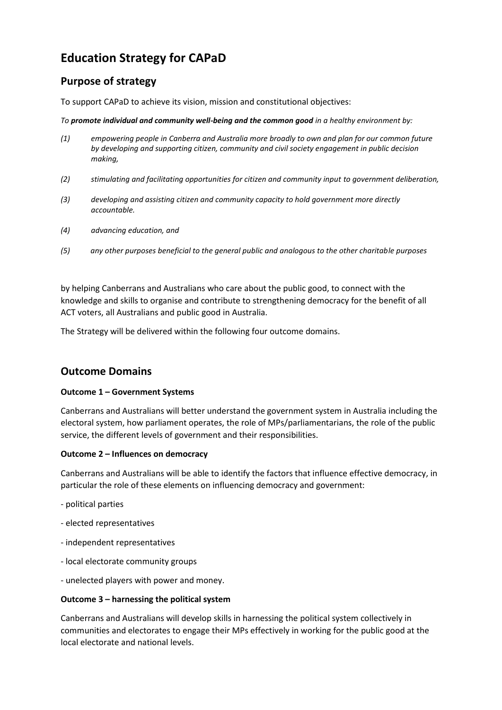# **Education Strategy for CAPaD**

# **Purpose of strategy**

To support CAPaD to achieve its vision, mission and constitutional objectives:

*To promote individual and community well-being and the common good in a healthy environment by:*

- *(1) empowering people in Canberra and Australia more broadly to own and plan for our common future by developing and supporting citizen, community and civil society engagement in public decision making,*
- *(2) stimulating and facilitating opportunities for citizen and community input to government deliberation,*
- *(3) developing and assisting citizen and community capacity to hold government more directly accountable.*
- *(4) advancing education, and*
- *(5) any other purposes beneficial to the general public and analogous to the other charitable purposes*

by helping Canberrans and Australians who care about the public good, to connect with the knowledge and skills to organise and contribute to strengthening democracy for the benefit of all ACT voters, all Australians and public good in Australia.

The Strategy will be delivered within the following four outcome domains.

## **Outcome Domains**

#### **Outcome 1 – Government Systems**

Canberrans and Australians will better understand the government system in Australia including the electoral system, how parliament operates, the role of MPs/parliamentarians, the role of the public service, the different levels of government and their responsibilities.

#### **Outcome 2 – Influences on democracy**

Canberrans and Australians will be able to identify the factors that influence effective democracy, in particular the role of these elements on influencing democracy and government:

- political parties
- elected representatives
- independent representatives
- local electorate community groups
- unelected players with power and money.

#### **Outcome 3 – harnessing the political system**

Canberrans and Australians will develop skills in harnessing the political system collectively in communities and electorates to engage their MPs effectively in working for the public good at the local electorate and national levels.